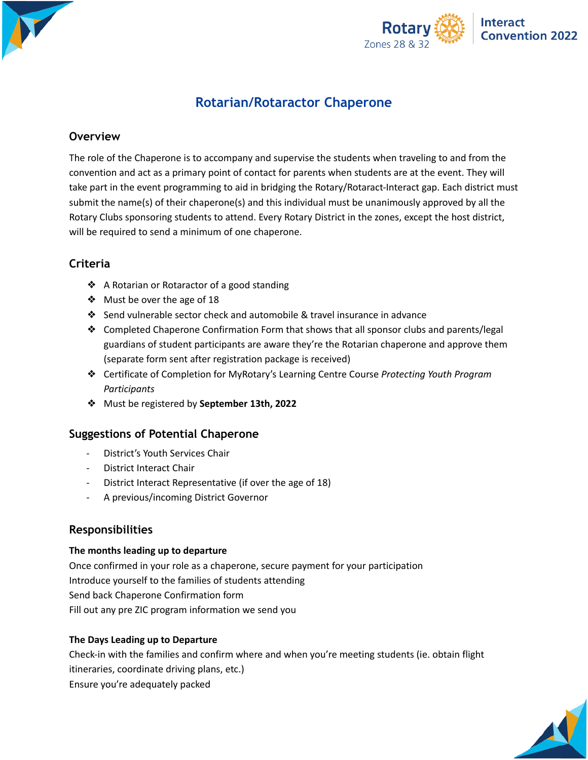



# **Rotarian/Rotaractor Chaperone**

# **Overview**

The role of the Chaperone is to accompany and supervise the students when traveling to and from the convention and act as a primary point of contact for parents when students are at the event. They will take part in the event programming to aid in bridging the Rotary/Rotaract-Interact gap. Each district must submit the name(s) of their chaperone(s) and this individual must be unanimously approved by all the Rotary Clubs sponsoring students to attend. Every Rotary District in the zones, except the host district, will be required to send a minimum of one chaperone.

# **Criteria**

- ❖ A Rotarian or Rotaractor of a good standing
- ❖ Must be over the age of 18
- ❖ Send vulnerable sector check and automobile & travel insurance in advance
- ❖ Completed Chaperone Confirmation Form that shows that all sponsor clubs and parents/legal guardians of student participants are aware they're the Rotarian chaperone and approve them (separate form sent after registration package is received)
- ❖ Certificate of Completion for MyRotary's Learning Centre Course *Protecting Youth Program Participants*
- ❖ Must be registered by **September 13th, 2022**

## **Suggestions of Potential Chaperone**

- District's Youth Services Chair
- District Interact Chair
- District Interact Representative (if over the age of 18)
- A previous/incoming District Governor

## **Responsibilities**

### **The months leading up to departure**

Once confirmed in your role as a chaperone, secure payment for your participation Introduce yourself to the families of students attending Send back Chaperone Confirmation form Fill out any pre ZIC program information we send you

### **The Days Leading up to Departure**

Check-in with the families and confirm where and when you're meeting students (ie. obtain flight itineraries, coordinate driving plans, etc.) Ensure you're adequately packed